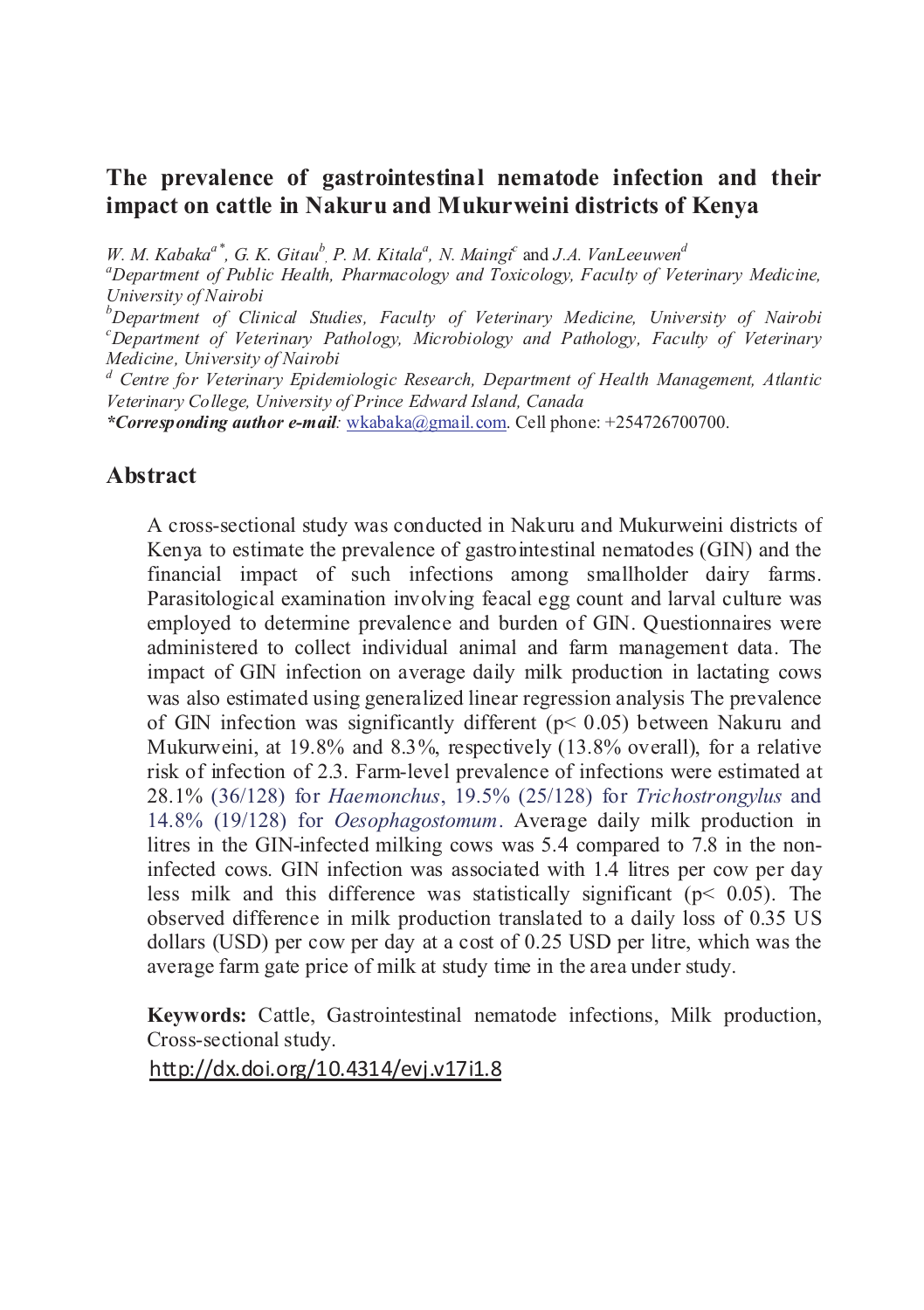## **The prevalence of gastrointestinal nematode infection and their impact on cattle in Nakuru and Mukurweini districts of Kenya**

*W. M. Kabaka*<sup><sup>*a*\*</sup>, *G. K. Gitau*<sup>b</sup>, *P. M. Kitala*<sup>*a*</sup>, *N. Maingi*<sup>*c*</sup> and *J.A. VanLeeuwen*<sup>*d*</sup></sup>

*<sup>a</sup>Department of Public Health, Pharmacology and Toxicology, Faculty of Veterinary Medicine, University of Nairobi*

*<sup>b</sup>Department of Clinical Studies, Faculty of Veterinary Medicine, University of Nairobi <sup>c</sup>Department of Veterinary Pathology, Microbiology and Pathology, Faculty of Veterinary Medicine, University of Nairobi*

*<sup>d</sup> Centre for Veterinary Epidemiologic Research, Department of Health Management, Atlantic Veterinary College, University of Prince Edward Island, Canada*

*\*Corresponding author e-mail:* wkabaka@gmail.com. Cell phone: +254726700700.

#### **Abstract**

A cross-sectional study was conducted in Nakuru and Mukurweini districts of Kenya to estimate the prevalence of gastrointestinal nematodes (GIN) and the financial impact of such infections among smallholder dairy farms. Parasitological examination involving feacal egg count and larval culture was employed to determine prevalence and burden of GIN. Questionnaires were administered to collect individual animal and farm management data. The impact of GIN infection on average daily milk production in lactating cows was also estimated using generalized linear regression analysis The prevalence of GIN infection was significantly different (p< 0.05) between Nakuru and Mukurweini, at 19.8% and 8.3%, respectively (13.8% overall), for a relative risk of infection of 2.3. Farm-level prevalence of infections were estimated at 28.1% (36/128) for *Haemonchus*, 19.5% (25/128) for *Trichostrongylus* and 14.8% (19/128) for *Oesophagostomum*. Average daily milk production in litres in the GIN-infected milking cows was 5.4 compared to 7.8 in the noninfected cows. GIN infection was associated with 1.4 litres per cow per day less milk and this difference was statistically significant ( $p$  < 0.05). The observed difference in milk production translated to a daily loss of 0.35 US dollars (USD) per cow per day at a cost of 0.25 USD per litre, which was the average farm gate price of milk at study time in the area under study.

**Keywords:** Cattle, Gastrointestinal nematode infections, Milk production, Cross-sectional study.

http://dx.doi.org/10.4314/evj.v17i1.8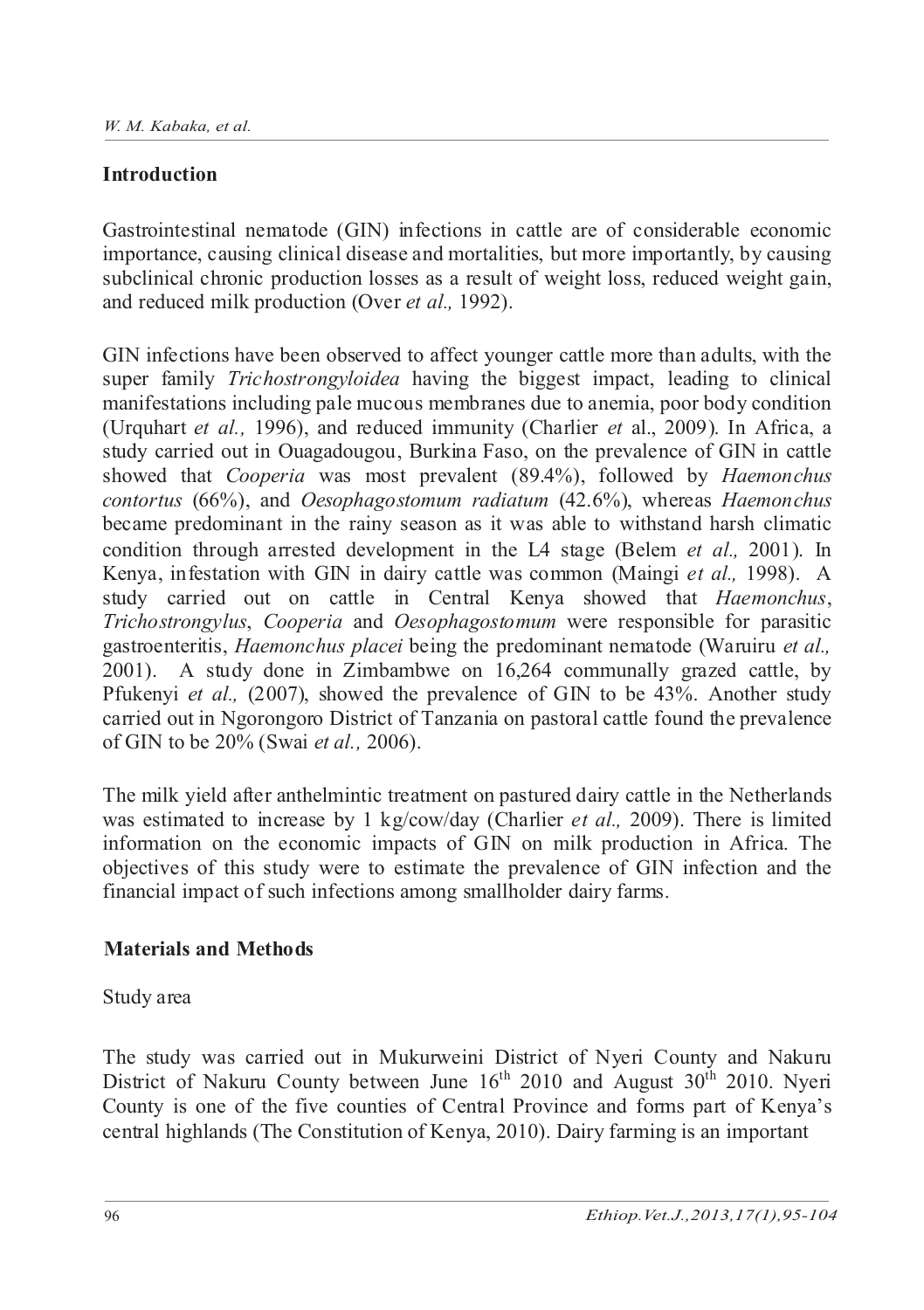## **Introduction**

Gastrointestinal nematode (GIN) infections in cattle are of considerable economic importance, causing clinical disease and mortalities, but more importantly, by causing subclinical chronic production losses as a result of weight loss, reduced weight gain, and reduced milk production (Over *et al.,* 1992).

GIN infections have been observed to affect younger cattle more than adults, with the super family *Trichostrongyloidea* having the biggest impact, leading to clinical manifestations including pale mucous membranes due to anemia, poor body condition (Urquhart *et al.,* 1996), and reduced immunity (Charlier *et* al., 2009). In Africa, a study carried out in Ouagadougou, Burkina Faso, on the prevalence of GIN in cattle showed that *Cooperia* was most prevalent (89.4%), followed by *Haemonchus contortus* (66%), and *Oesophagostomum radiatum* (42.6%), whereas *Haemonchus* became predominant in the rainy season as it was able to withstand harsh climatic condition through arrested development in the L4 stage (Belem *et al.,* 2001). In Kenya, infestation with GIN in dairy cattle was common (Maingi *et al.,* 1998). A study carried out on cattle in Central Kenya showed that *Haemonchus*, *Trichostrongylus*, *Cooperia* and *Oesophagostomum* were responsible for parasitic gastroenteritis, *Haemonchus placei* being the predominant nematode (Waruiru *et al.,* 2001). A study done in Zimbambwe on 16,264 communally grazed cattle, by Pfukenyi *et al.,* (2007), showed the prevalence of GIN to be 43%. Another study carried out in Ngorongoro District of Tanzania on pastoral cattle found the prevalence of GIN to be 20% (Swai *et al.,* 2006).

The milk yield after anthelmintic treatment on pastured dairy cattle in the Netherlands was estimated to increase by 1 kg/cow/day (Charlier *et al.,* 2009). There is limited information on the economic impacts of GIN on milk production in Africa. The objectives of this study were to estimate the prevalence of GIN infection and the financial impact of such infections among smallholder dairy farms.

#### **Materials and Methods**

Study area

The study was carried out in Mukurweini District of Nyeri County and Nakuru District of Nakuru County between June  $16<sup>th</sup>$  2010 and August 30<sup>th</sup> 2010. Nyeri County is one of the five counties of Central Province and forms part of Kenya's central highlands (The Constitution of Kenya, 2010). Dairy farming is an important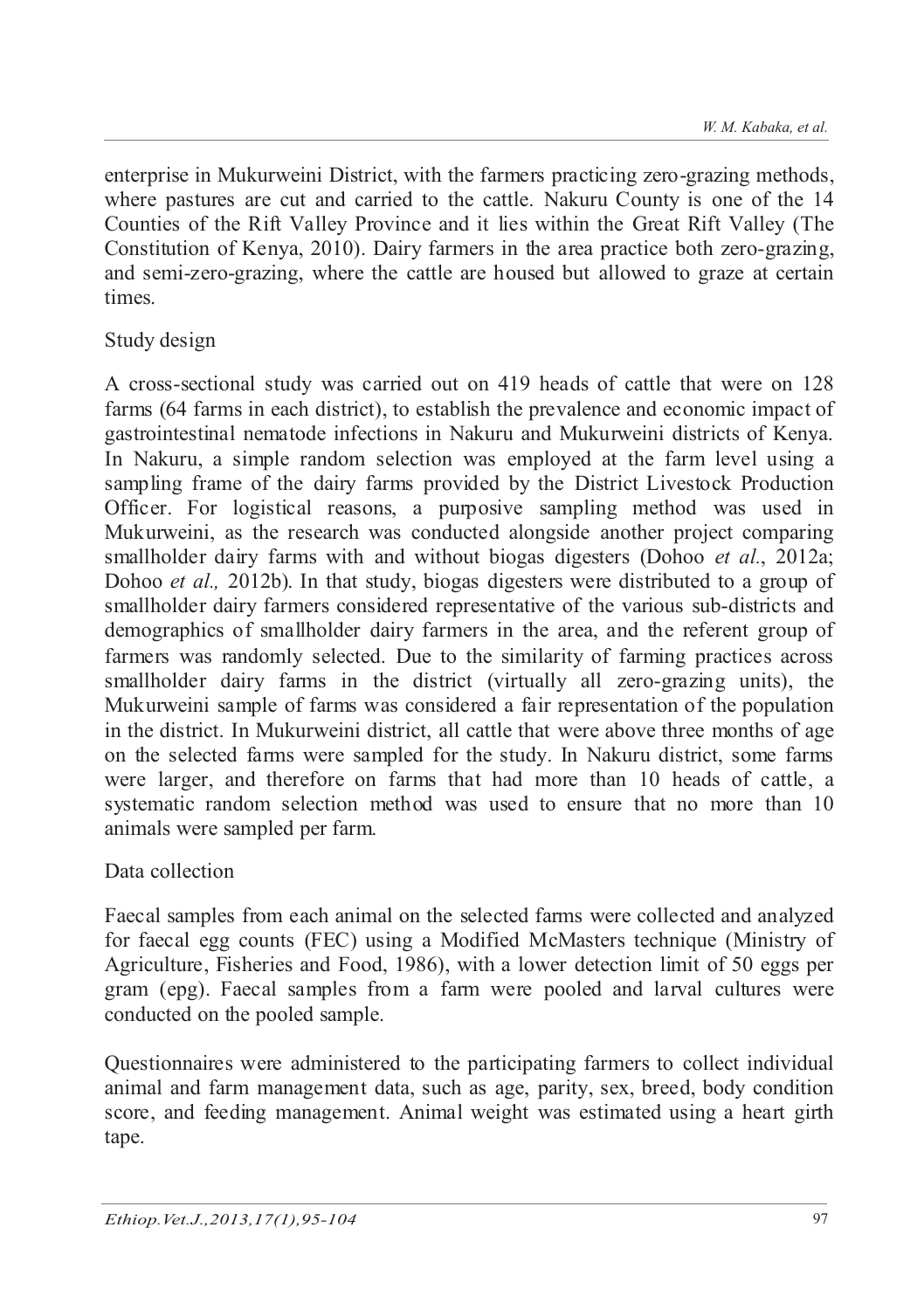enterprise in Mukurweini District, with the farmers practicing zero-grazing methods, where pastures are cut and carried to the cattle. Nakuru County is one of the 14 Counties of the Rift Valley Province and it lies within the Great Rift Valley (The Constitution of Kenya, 2010). Dairy farmers in the area practice both zero-grazing, and semi-zero-grazing, where the cattle are housed but allowed to graze at certain times.

## Study design

A cross-sectional study was carried out on 419 heads of cattle that were on 128 farms (64 farms in each district), to establish the prevalence and economic impact of gastrointestinal nematode infections in Nakuru and Mukurweini districts of Kenya. In Nakuru, a simple random selection was employed at the farm level using a sampling frame of the dairy farms provided by the District Livestock Production Officer. For logistical reasons, a purposive sampling method was used in Mukurweini, as the research was conducted alongside another project comparing smallholder dairy farms with and without biogas digesters (Dohoo *et al.*, 2012a; Dohoo *et al.,* 2012b). In that study, biogas digesters were distributed to a group of smallholder dairy farmers considered representative of the various sub-districts and demographics of smallholder dairy farmers in the area, and the referent group of farmers was randomly selected. Due to the similarity of farming practices across smallholder dairy farms in the district (virtually all zero-grazing units), the Mukurweini sample of farms was considered a fair representation of the population in the district. In Mukurweini district, all cattle that were above three months of age on the selected farms were sampled for the study. In Nakuru district, some farms were larger, and therefore on farms that had more than 10 heads of cattle, a systematic random selection method was used to ensure that no more than 10 animals were sampled per farm.

## Data collection

Faecal samples from each animal on the selected farms were collected and analyzed for faecal egg counts (FEC) using a Modified McMasters technique (Ministry of Agriculture, Fisheries and Food, 1986), with a lower detection limit of 50 eggs per gram (epg). Faecal samples from a farm were pooled and larval cultures were conducted on the pooled sample.

Questionnaires were administered to the participating farmers to collect individual animal and farm management data, such as age, parity, sex, breed, body condition score, and feeding management. Animal weight was estimated using a heart girth tape.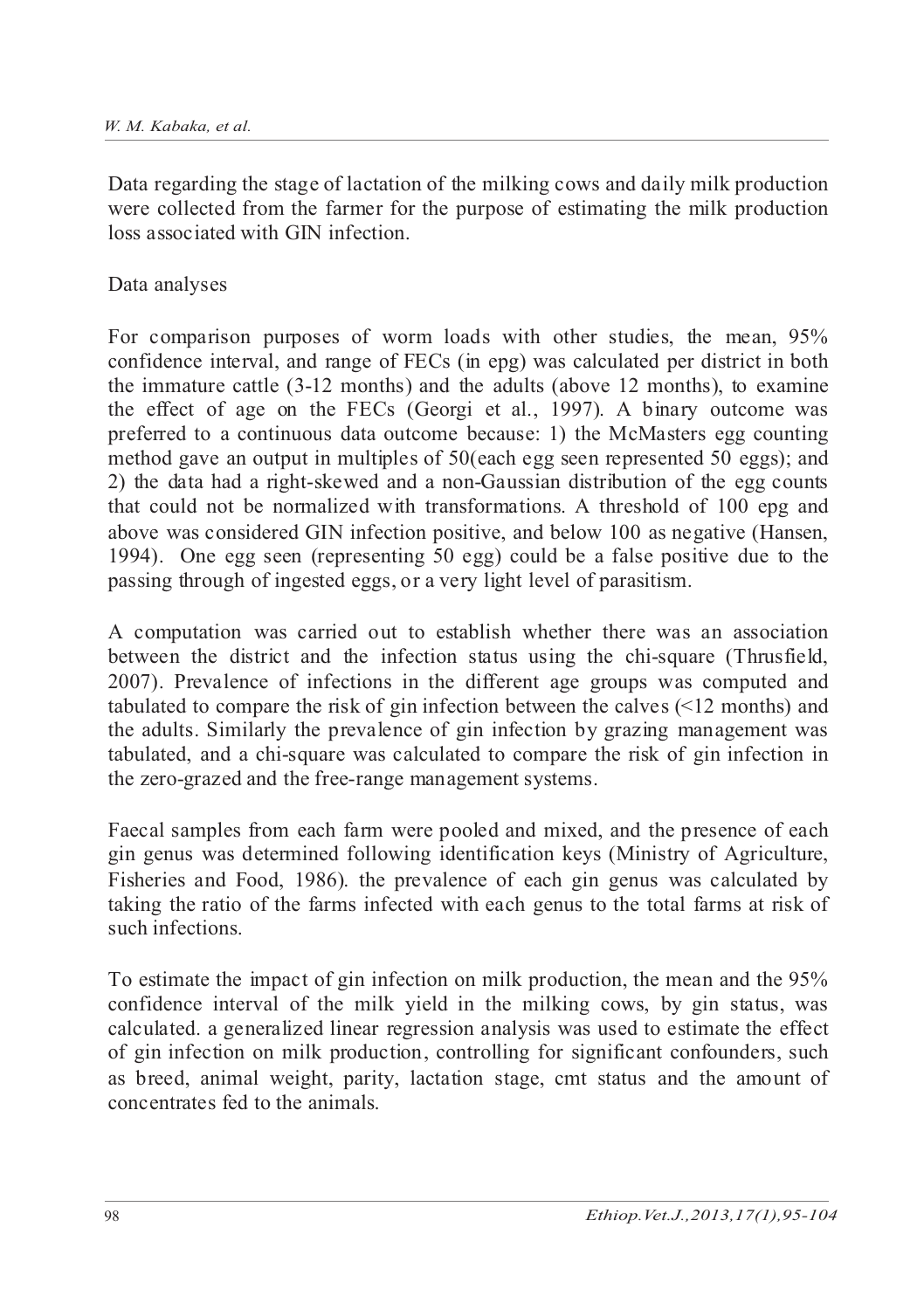Data regarding the stage of lactation of the milking cows and daily milk production were collected from the farmer for the purpose of estimating the milk production loss associated with GIN infection.

## Data analyses

For comparison purposes of worm loads with other studies, the mean, 95% confidence interval, and range of FECs (in epg) was calculated per district in both the immature cattle (3-12 months) and the adults (above 12 months), to examine the effect of age on the FECs (Georgi et al., 1997). A binary outcome was preferred to a continuous data outcome because: 1) the McMasters egg counting method gave an output in multiples of 50(each egg seen represented 50 eggs); and 2) the data had a right-skewed and a non-Gaussian distribution of the egg counts that could not be normalized with transformations. A threshold of 100 epg and above was considered GIN infection positive, and below 100 as negative (Hansen, 1994). One egg seen (representing 50 egg) could be a false positive due to the passing through of ingested eggs, or a very light level of parasitism.

A computation was carried out to establish whether there was an association between the district and the infection status using the chi-square (Thrusfield, 2007). Prevalence of infections in the different age groups was computed and tabulated to compare the risk of gin infection between the calves (<12 months) and the adults. Similarly the prevalence of gin infection by grazing management was tabulated, and a chi-square was calculated to compare the risk of gin infection in the zero-grazed and the free-range management systems.

Faecal samples from each farm were pooled and mixed, and the presence of each gin genus was determined following identification keys (Ministry of Agriculture, Fisheries and Food, 1986). the prevalence of each gin genus was calculated by taking the ratio of the farms infected with each genus to the total farms at risk of such infections.

To estimate the impact of gin infection on milk production, the mean and the 95% confidence interval of the milk yield in the milking cows, by gin status, was calculated. a generalized linear regression analysis was used to estimate the effect of gin infection on milk production, controlling for significant confounders, such as breed, animal weight, parity, lactation stage, cmt status and the amount of concentrates fed to the animals.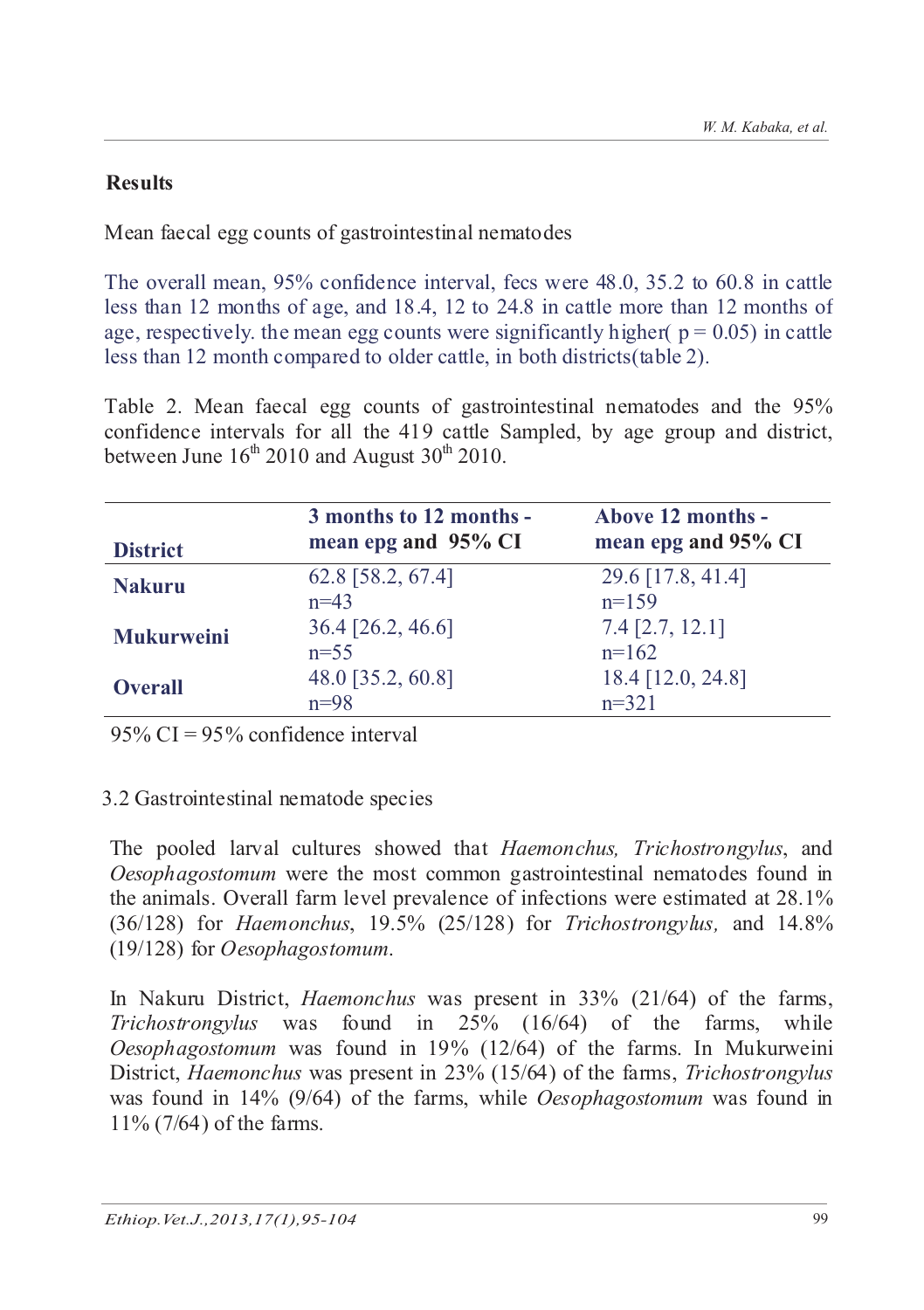## **Results**

Mean faecal egg counts of gastrointestinal nematodes

The overall mean, 95% confidence interval, fecs were 48.0, 35.2 to 60.8 in cattle less than 12 months of age, and 18.4, 12 to 24.8 in cattle more than 12 months of age, respectively, the mean egg counts were significantly higher(  $p = 0.05$ ) in cattle less than 12 month compared to older cattle, in both districts(table 2).

Table 2. Mean faecal egg counts of gastrointestinal nematodes and the 95% confidence intervals for all the 419 cattle Sampled, by age group and district, between June  $16<sup>th</sup> 2010$  and August  $30<sup>th</sup> 2010$ .

| <b>District</b>   | 3 months to 12 months -<br>mean epg and 95% CI | Above 12 months -<br>mean epg and 95% CI |
|-------------------|------------------------------------------------|------------------------------------------|
| <b>Nakuru</b>     | 62.8 [58.2, 67.4]<br>$n=43$                    | 29.6 [17.8, 41.4]<br>$n=159$             |
| <b>Mukurweini</b> | 36.4 [26.2, 46.6]<br>$n=55$                    | $7.4$ [2.7, 12.1]<br>$n=162$             |
| <b>Overall</b>    | 48.0 [35.2, 60.8]<br>$n=98$                    | 18.4 [12.0, 24.8]<br>$n=321$             |

 $95\%$  CI =  $95\%$  confidence interval

## 3.2 Gastrointestinal nematode species

The pooled larval cultures showed that *Haemonchus, Trichostrongylus*, and *Oesophagostomum* were the most common gastrointestinal nematodes found in the animals. Overall farm level prevalence of infections were estimated at 28.1% (36/128) for *Haemonchus*, 19.5% (25/128) for *Trichostrongylus,* and 14.8% (19/128) for *Oesophagostomum*.

In Nakuru District, *Haemonchus* was present in 33% (21/64) of the farms, *Trichostrongylus* was found in 25% (16/64) of the farms, while *Oesophagostomum* was found in 19% (12/64) of the farms. In Mukurweini District, *Haemonchus* was present in 23% (15/64) of the farms, *Trichostrongylus* was found in 14% (9/64) of the farms, while *Oesophagostomum* was found in 11% (7/64) of the farms.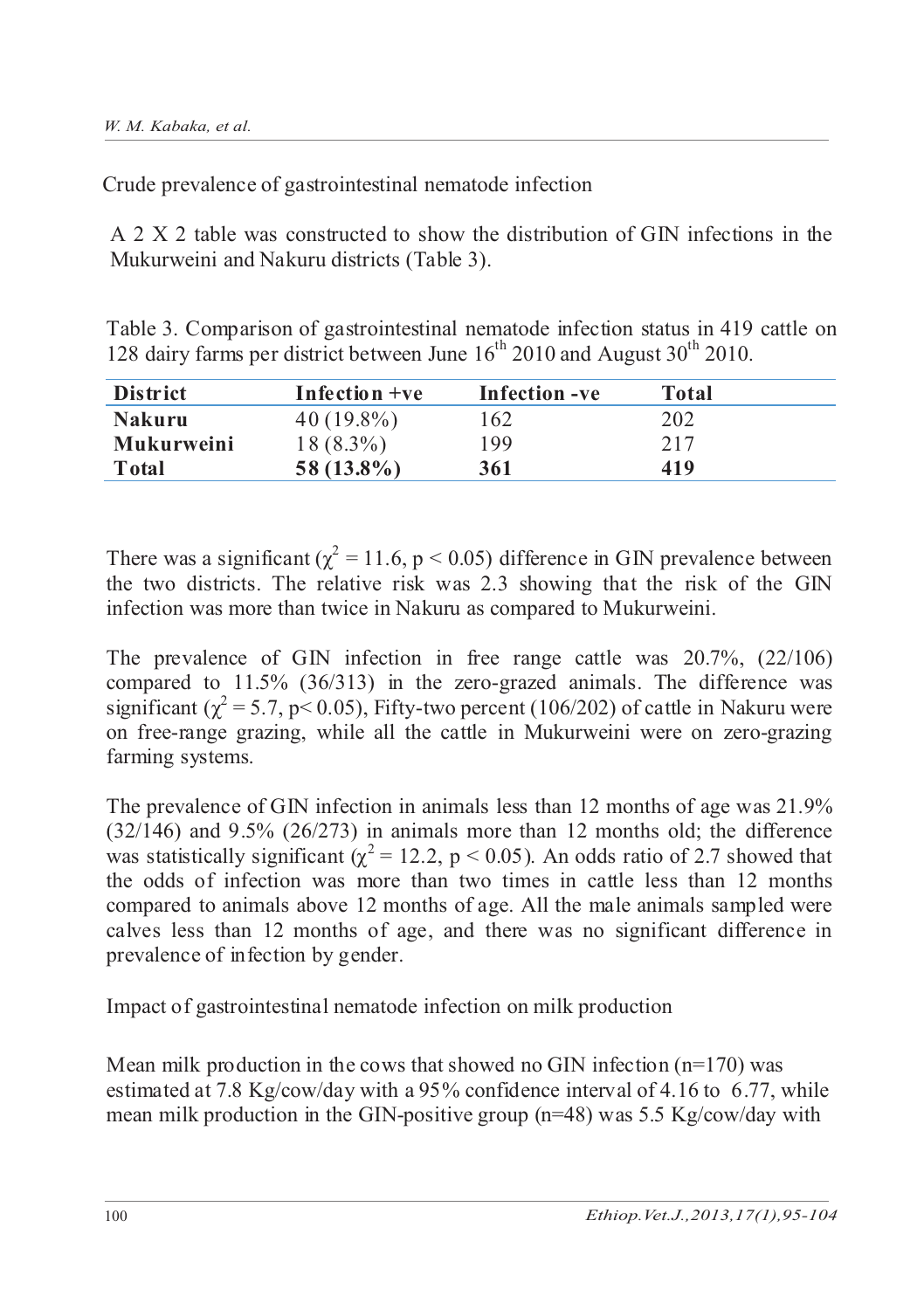Crude prevalence of gastrointestinal nematode infection

A 2 X 2 table was constructed to show the distribution of GIN infections in the Mukurweini and Nakuru districts (Table 3).

Table 3. Comparison of gastrointestinal nematode infection status in 419 cattle on 128 dairy farms per district between June  $16<sup>th</sup>$  2010 and August  $30<sup>th</sup>$  2010.

| <b>District</b>   | Infection $+ve$ | Infection -ve | Total |
|-------------------|-----------------|---------------|-------|
| <b>Nakuru</b>     | $40(19.8\%)$    | 162           | 202   |
| <b>Mukurweini</b> | $18(8.3\%)$     | 199           | 217   |
| Total             | $58(13.8\%)$    | 361           | 419   |

There was a significant ( $\chi^2$  = 11.6, p < 0.05) difference in GIN prevalence between the two districts. The relative risk was 2.3 showing that the risk of the GIN infection was more than twice in Nakuru as compared to Mukurweini.

The prevalence of GIN infection in free range cattle was 20.7%, (22/106) compared to 11.5% (36/313) in the zero-grazed animals. The difference was significant ( $\chi^2$  = 5.7, p< 0.05), Fifty-two percent (106/202) of cattle in Nakuru were on free-range grazing, while all the cattle in Mukurweini were on zero-grazing farming systems.

The prevalence of GIN infection in animals less than 12 months of age was 21.9%  $(32/146)$  and 9.5%  $(26/273)$  in animals more than 12 months old; the difference was statistically significant ( $\chi^2$  = 12.2, p < 0.05). An odds ratio of 2.7 showed that the odds of infection was more than two times in cattle less than 12 months compared to animals above 12 months of age. All the male animals sampled were calves less than 12 months of age, and there was no significant difference in prevalence of infection by gender.

Impact of gastrointestinal nematode infection on milk production

Mean milk production in the cows that showed no GIN infection  $(n=170)$  was estimated at 7.8 Kg/cow/day with a 95% confidence interval of 4.16 to 6.77, while mean milk production in the GIN-positive group ( $n=48$ ) was 5.5 Kg/cow/day with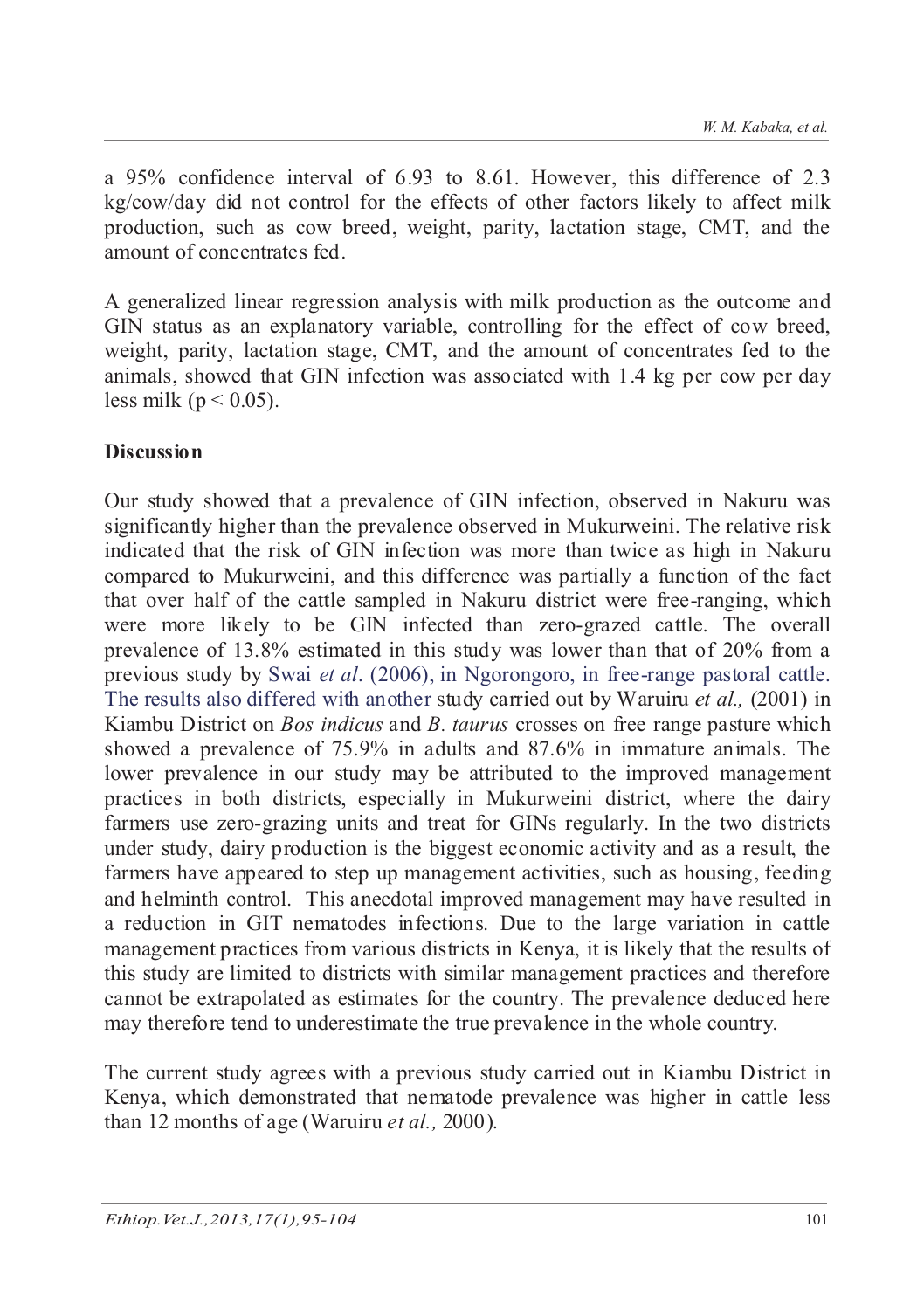a 95% confidence interval of 6.93 to 8.61. However, this difference of 2.3 kg/cow/day did not control for the effects of other factors likely to affect milk production, such as cow breed, weight, parity, lactation stage, CMT, and the amount of concentrates fed.

A generalized linear regression analysis with milk production as the outcome and GIN status as an explanatory variable, controlling for the effect of cow breed, weight, parity, lactation stage, CMT, and the amount of concentrates fed to the animals, showed that GIN infection was associated with 1.4 kg per cow per day less milk ( $p < 0.05$ ).

# **Discussion**

Our study showed that a prevalence of GIN infection, observed in Nakuru was significantly higher than the prevalence observed in Mukurweini. The relative risk indicated that the risk of GIN infection was more than twice as high in Nakuru compared to Mukurweini, and this difference was partially a function of the fact that over half of the cattle sampled in Nakuru district were free-ranging, which were more likely to be GIN infected than zero-grazed cattle. The overall prevalence of 13.8% estimated in this study was lower than that of 20% from a previous study by Swai *et al*. (2006), in Ngorongoro, in free-range pastoral cattle. The results also differed with another study carried out by Waruiru *et al.,* (2001) in Kiambu District on *Bos indicus* and *B. taurus* crosses on free range pasture which showed a prevalence of 75.9% in adults and 87.6% in immature animals. The lower prevalence in our study may be attributed to the improved management practices in both districts, especially in Mukurweini district, where the dairy farmers use zero-grazing units and treat for GINs regularly. In the two districts under study, dairy production is the biggest economic activity and as a result, the farmers have appeared to step up management activities, such as housing, feeding and helminth control. This anecdotal improved management may have resulted in a reduction in GIT nematodes infections. Due to the large variation in cattle management practices from various districts in Kenya, it is likely that the results of this study are limited to districts with similar management practices and therefore cannot be extrapolated as estimates for the country. The prevalence deduced here may therefore tend to underestimate the true prevalence in the whole country.

The current study agrees with a previous study carried out in Kiambu District in Kenya, which demonstrated that nematode prevalence was higher in cattle less than 12 months of age (Waruiru *et al.,* 2000).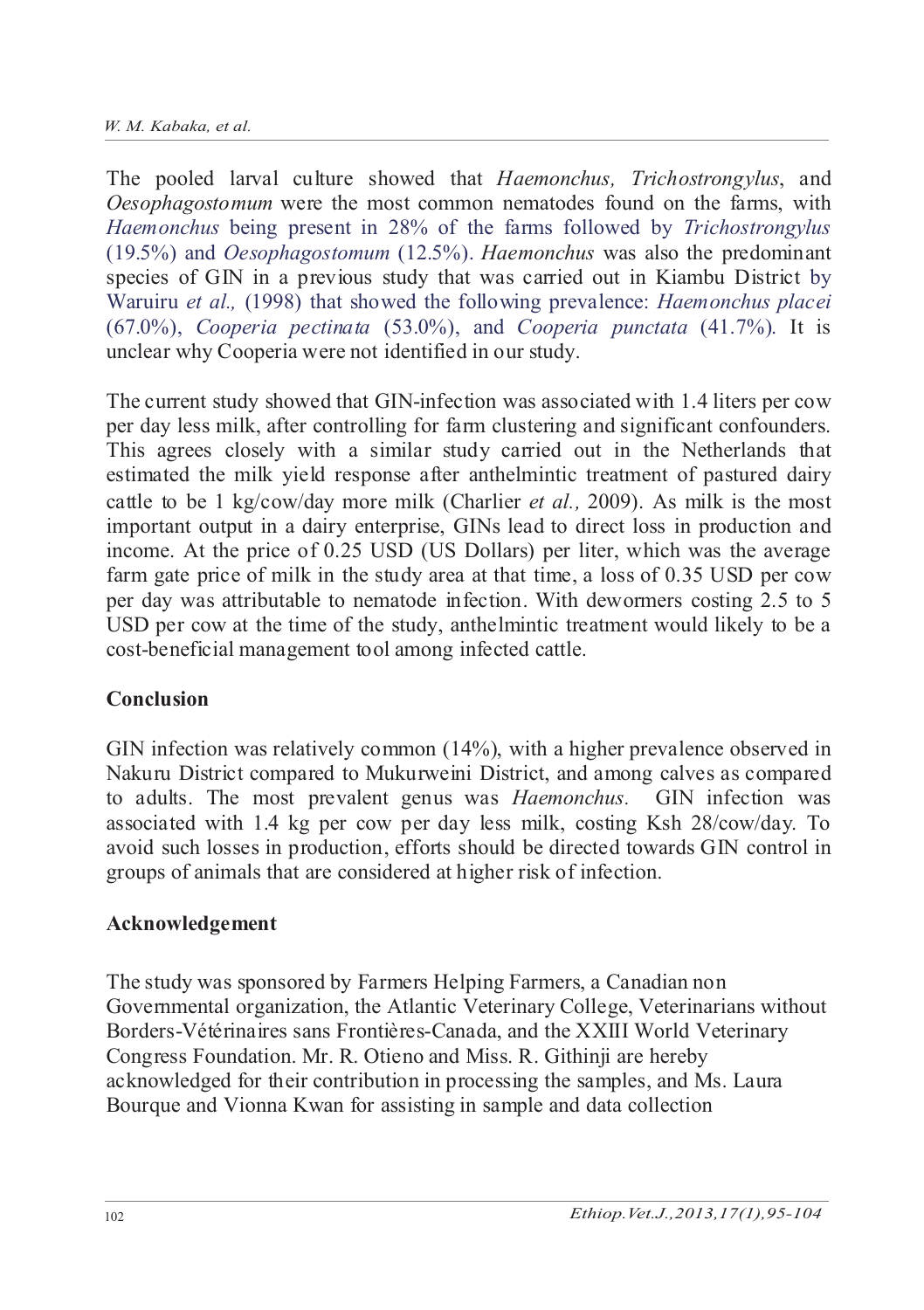The pooled larval culture showed that *Haemonchus, Trichostrongylus*, and *Oesophagostomum* were the most common nematodes found on the farms, with *Haemonchus* being present in 28% of the farms followed by *Trichostrongylus* (19.5%) and *Oesophagostomum* (12.5%). *Haemonchus* was also the predominant species of GIN in a previous study that was carried out in Kiambu District by Waruiru *et al.,* (1998) that showed the following prevalence: *Haemonchus placei* (67.0%), *Cooperia pectinata* (53.0%), and *Cooperia punctata* (41.7%). It is unclear why Cooperia were not identified in our study.

The current study showed that GIN-infection was associated with 1.4 liters per cow per day less milk, after controlling for farm clustering and significant confounders. This agrees closely with a similar study carried out in the Netherlands that estimated the milk yield response after anthelmintic treatment of pastured dairy cattle to be 1 kg/cow/day more milk (Charlier *et al.,* 2009). As milk is the most important output in a dairy enterprise, GINs lead to direct loss in production and income. At the price of 0.25 USD (US Dollars) per liter, which was the average farm gate price of milk in the study area at that time, a loss of 0.35 USD per cow per day was attributable to nematode infection. With dewormers costing 2.5 to 5 USD per cow at the time of the study, anthelmintic treatment would likely to be a cost-beneficial management tool among infected cattle.

## **Conclusion**

GIN infection was relatively common (14%), with a higher prevalence observed in Nakuru District compared to Mukurweini District, and among calves as compared to adults. The most prevalent genus was *Haemonchus.* GIN infection was associated with 1.4 kg per cow per day less milk, costing Ksh 28/cow/day. To avoid such losses in production, efforts should be directed towards GIN control in groups of animals that are considered at higher risk of infection.

# **Acknowledgement**

The study was sponsored by Farmers Helping Farmers, a Canadian non Governmental organization, the Atlantic Veterinary College, Veterinarians without Borders-Vétérinaires sans Frontières-Canada, and the XXIII World Veterinary Congress Foundation. Mr. R. Otieno and Miss. R. Githinji are hereby acknowledged for their contribution in processing the samples, and Ms. Laura Bourque and Vionna Kwan for assisting in sample and data collection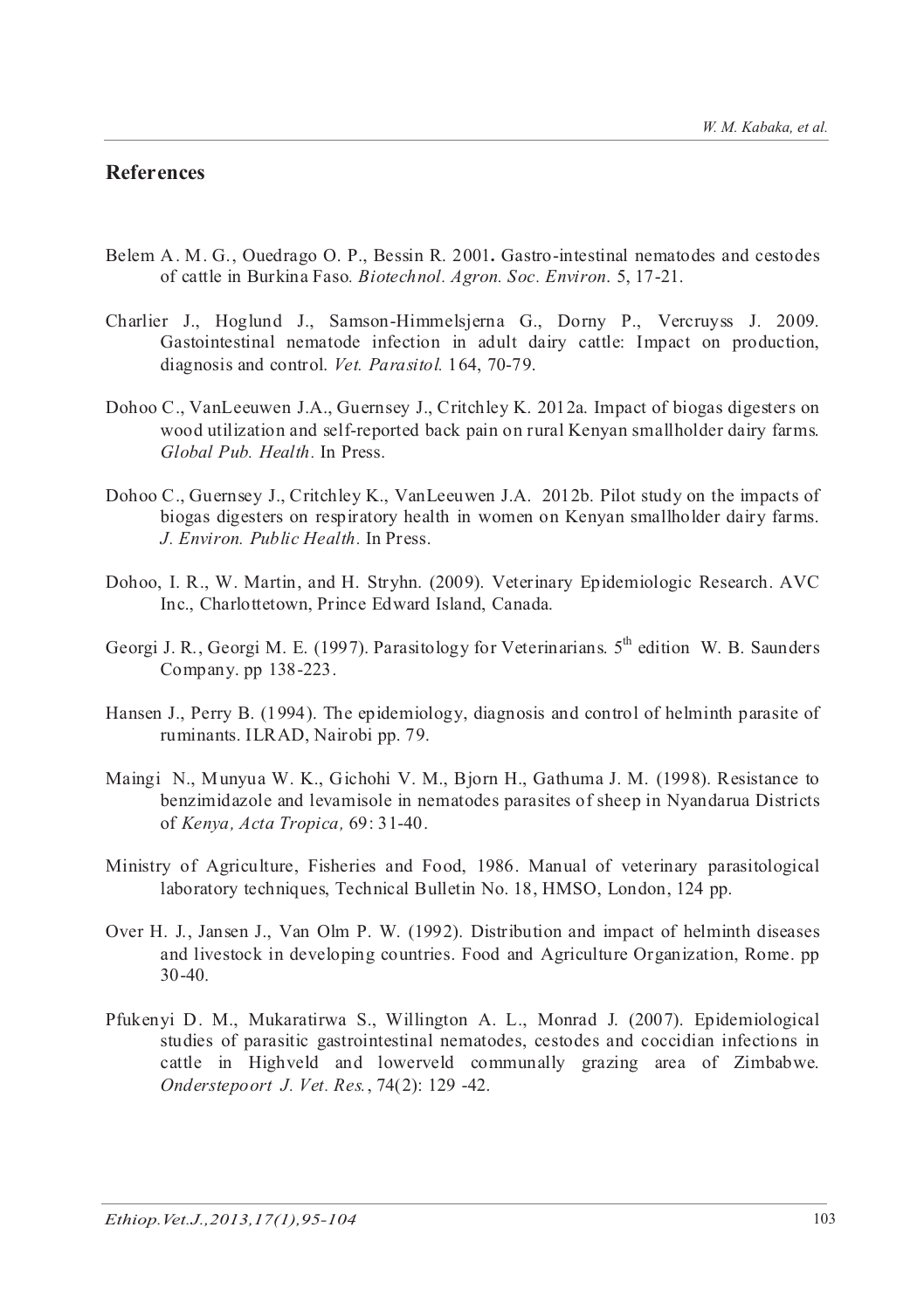#### **References**

- Belem A. M. G., Ouedrago O. P., Bessin R. 2001**.** Gastro-intestinal nematodes and cestodes of cattle in Burkina Faso*. Biotechnol. Agron. Soc. Environ*. 5, 17-21.
- Charlier J., Hoglund J., Samson-Himmelsjerna G., Dorny P., Vercruyss J. 2009. Gastointestinal nematode infection in adult dairy cattle: Impact on production, diagnosis and control. *Vet. Parasitol.* 164, 70-79.
- Dohoo C., VanLeeuwen J.A., Guernsey J., Critchley K. 2012a. Impact of biogas digesters on wood utilization and self-reported back pain on rural Kenyan smallholder dairy farms. *Global Pub. Health.* In Press.
- Dohoo C., Guernsey J., Critchley K., VanLeeuwen J.A. 2012b. Pilot study on the impacts of biogas digesters on respiratory health in women on Kenyan smallholder dairy farms. *J. Environ. Public Health.* In Press.
- Dohoo, I. R., W. Martin, and H. Stryhn. (2009). Veterinary Epidemiologic Research. AVC Inc., Charlottetown, Prince Edward Island, Canada.
- Georgi J. R., Georgi M. E. (1997). Parasitology for Veterinarians. 5<sup>th</sup> edition W. B. Saunders Company. pp 138-223.
- Hansen J., Perry B. (1994). The epidemiology, diagnosis and control of helminth parasite of ruminants. ILRAD, Nairobi pp. 79.
- Maingi N., Munyua W. K., Gichohi V. M., Bjorn H., Gathuma J. M. (1998). Resistance to benzimidazole and levamisole in nematodes parasites of sheep in Nyandarua Districts of *Kenya, Acta Tropica,* 69: 31-40.
- Ministry of Agriculture, Fisheries and Food, 1986. Manual of veterinary parasitological laboratory techniques, Technical Bulletin No. 18, HMSO, London, 124 pp.
- Over H. J., Jansen J., Van Olm P. W. (1992). Distribution and impact of helminth diseases and livestock in developing countries. Food and Agriculture Organization, Rome. pp 30-40.
- Pfukenyi D. M., Mukaratirwa S., Willington A. L., Monrad J. (2007). Epidemiological studies of parasitic gastrointestinal nematodes, cestodes and coccidian infections in cattle in Highveld and lowerveld communally grazing area of Zimbabwe. *Onderstepoort J. Vet. Res.*, 74(2): 129 -42.